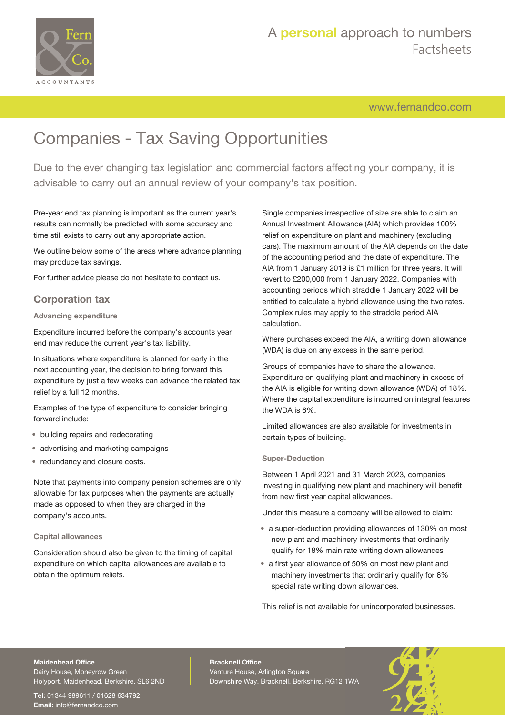

# A **personal** approach to numbers Factsheets

[www.fernandco.com](http://www.fernandco.com)

# Companies - Tax Saving Opportunities

Due to the ever changing tax legislation and commercial factors affecting your company, it is advisable to carry out an annual review of your company's tax position.

Pre-year end tax planning is important as the current year's results can normally be predicted with some accuracy and time still exists to carry out any appropriate action.

We outline below some of the areas where advance planning may produce tax savings.

For further advice please do not hesitate to contact us.

### **Corporation tax**

#### **Advancing expenditure**

Expenditure incurred before the company's accounts year end may reduce the current year's tax liability.

In situations where expenditure is planned for early in the next accounting year, the decision to bring forward this expenditure by just a few weeks can advance the related tax relief by a full 12 months.

Examples of the type of expenditure to consider bringing forward include:

- building repairs and redecorating
- advertising and marketing campaigns
- redundancy and closure costs.

Note that payments into company pension schemes are only allowable for tax purposes when the payments are actually made as opposed to when they are charged in the company's accounts.

#### **Capital allowances**

Consideration should also be given to the timing of capital expenditure on which capital allowances are available to obtain the optimum reliefs.

Single companies irrespective of size are able to claim an Annual Investment Allowance (AIA) which provides 100% relief on expenditure on plant and machinery (excluding cars). The maximum amount of the AIA depends on the date of the accounting period and the date of expenditure. The AIA from 1 January 2019 is £1 million for three years. It will revert to £200,000 from 1 January 2022. Companies with accounting periods which straddle 1 January 2022 will be entitled to calculate a hybrid allowance using the two rates. Complex rules may apply to the straddle period AIA calculation.

Where purchases exceed the AIA, a writing down allowance (WDA) is due on any excess in the same period.

Groups of companies have to share the allowance. Expenditure on qualifying plant and machinery in excess of the AIA is eligible for writing down allowance (WDA) of 18%. Where the capital expenditure is incurred on integral features the WDA is 6%.

Limited allowances are also available for investments in certain types of building.

#### **Super-Deduction**

Between 1 April 2021 and 31 March 2023, companies investing in qualifying new plant and machinery will benefit from new first year capital allowances.

Under this measure a company will be allowed to claim:

- a super-deduction providing allowances of 130% on most new plant and machinery investments that ordinarily qualify for 18% main rate writing down allowances
- a first year allowance of 50% on most new plant and machinery investments that ordinarily qualify for 6% special rate writing down allowances.

This relief is not available for unincorporated businesses.

### **Maidenhead Office**

Dairy House, Moneyrow Green Holyport, Maidenhead, Berkshire, SL6 2ND

**Tel:** 01344 989611 / 01628 634792 **Email:** [info@fernandco.com](mailto:info@fernandco.com)

**Bracknell Office** Venture House, Arlington Square Downshire Way, Bracknell, Berkshire, RG12 1WA

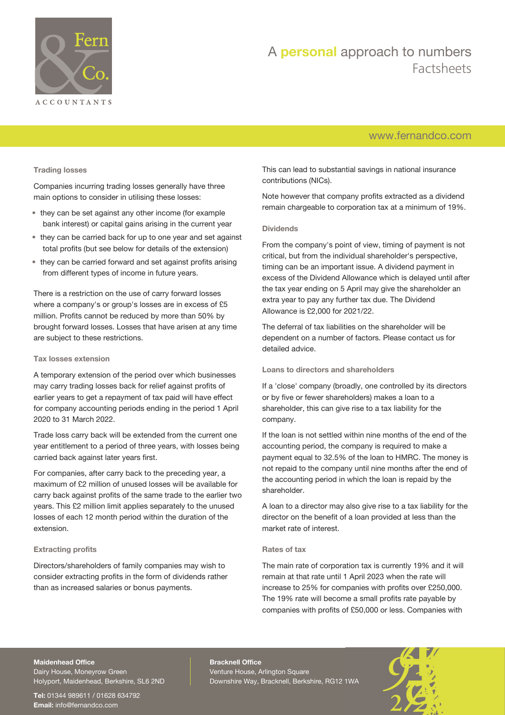

# A **personal** approach to numbers Factsheets

# [www.fernandco.com](http://www.fernandco.com)

#### **Trading losses**

Companies incurring trading losses generally have three main options to consider in utilising these losses:

- they can be set against any other income (for example bank interest) or capital gains arising in the current year
- they can be carried back for up to one year and set against total profits (but see below for details of the extension)
- they can be carried forward and set against profits arising from different types of income in future years.

There is a restriction on the use of carry forward losses where a company's or group's losses are in excess of £5 million. Profits cannot be reduced by more than 50% by brought forward losses. Losses that have arisen at any time are subject to these restrictions.

#### **Tax losses extension**

A temporary extension of the period over which businesses may carry trading losses back for relief against profits of earlier years to get a repayment of tax paid will have effect for company accounting periods ending in the period 1 April 2020 to 31 March 2022.

Trade loss carry back will be extended from the current one year entitlement to a period of three years, with losses being carried back against later years first.

For companies, after carry back to the preceding year, a maximum of £2 million of unused losses will be available for carry back against profits of the same trade to the earlier two years. This £2 million limit applies separately to the unused losses of each 12 month period within the duration of the extension.

#### **Extracting profits**

Directors/shareholders of family companies may wish to consider extracting profits in the form of dividends rather than as increased salaries or bonus payments.

This can lead to substantial savings in national insurance contributions (NICs).

Note however that company profits extracted as a dividend remain chargeable to corporation tax at a minimum of 19%.

#### **Dividends**

From the company's point of view, timing of payment is not critical, but from the individual shareholder's perspective, timing can be an important issue. A dividend payment in excess of the Dividend Allowance which is delayed until after the tax year ending on 5 April may give the shareholder an extra year to pay any further tax due. The Dividend Allowance is £2,000 for 2021/22.

The deferral of tax liabilities on the shareholder will be dependent on a number of factors. Please contact us for detailed advice.

#### **Loans to directors and shareholders**

If a 'close' company (broadly, one controlled by its directors or by five or fewer shareholders) makes a loan to a shareholder, this can give rise to a tax liability for the company.

If the loan is not settled within nine months of the end of the accounting period, the company is required to make a payment equal to 32.5% of the loan to HMRC. The money is not repaid to the company until nine months after the end of the accounting period in which the loan is repaid by the shareholder.

A loan to a director may also give rise to a tax liability for the director on the benefit of a loan provided at less than the market rate of interest.

#### **Rates of tax**

The main rate of corporation tax is currently 19% and it will remain at that rate until 1 April 2023 when the rate will increase to 25% for companies with profits over £250,000. The 19% rate will become a small profits rate payable by companies with profits of £50,000 or less. Companies with

#### **Maidenhead Office**

Dairy House, Moneyrow Green Holyport, Maidenhead, Berkshire, SL6 2ND

**Tel:** 01344 989611 / 01628 634792 **Email:** [info@fernandco.com](mailto:info@fernandco.com)

**Bracknell Office** Venture House, Arlington Square Downshire Way, Bracknell, Berkshire, RG12 1WA